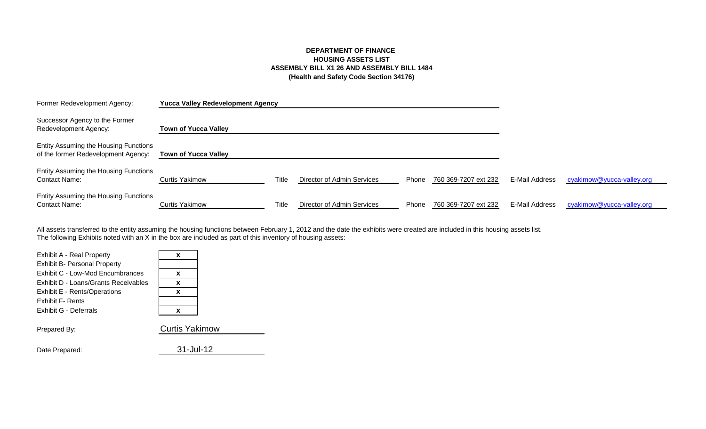# **DEPARTMENT OF FINANCE HOUSING ASSETS LIST ASSEMBLY BILL X1 26 AND ASSEMBLY BILL 1484 (Health and Safety Code Section 34176)**

| Former Redevelopment Agency:                                                 | <b>Yucca Valley Redevelopment Agency</b> |       |                            |       |                      |                |                           |
|------------------------------------------------------------------------------|------------------------------------------|-------|----------------------------|-------|----------------------|----------------|---------------------------|
| Successor Agency to the Former<br>Redevelopment Agency:                      | <b>Town of Yucca Valley</b>              |       |                            |       |                      |                |                           |
| Entity Assuming the Housing Functions<br>of the former Redevelopment Agency: | <b>Town of Yucca Valley</b>              |       |                            |       |                      |                |                           |
| Entity Assuming the Housing Functions<br><b>Contact Name:</b>                | Curtis Yakimow                           | Title | Director of Admin Services | Phone | 760 369-7207 ext 232 | E-Mail Address | cyakimow@yucca-valley.org |
| Entity Assuming the Housing Functions<br><b>Contact Name:</b>                | Curtis Yakimow                           | Title | Director of Admin Services | Phone | 760 369-7207 ext 232 | E-Mail Address | cyakimow@yucca-valley.org |

The following Exhibits noted with an X in the box are included as part of this inventory of housing assets: All assets transferred to the entity assuming the housing functions between February 1, 2012 and the date the exhibits were created are included in this housing assets list.

| x                     |  |
|-----------------------|--|
|                       |  |
| x                     |  |
| x                     |  |
| x                     |  |
|                       |  |
| x                     |  |
| <b>Curtis Yakimow</b> |  |
|                       |  |

Date Prepared: 31-Jul-12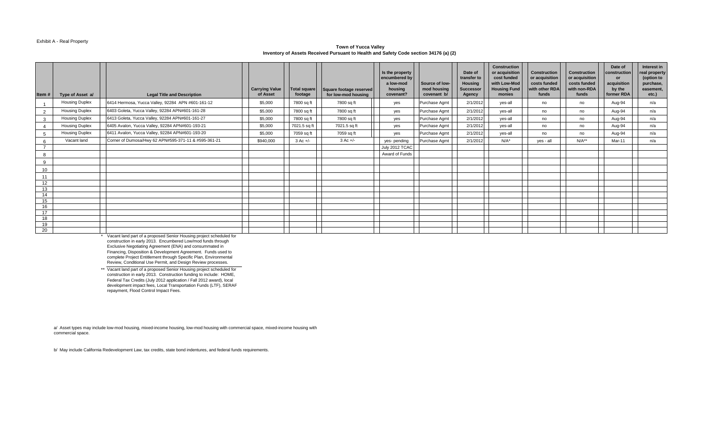#### Exhibit A - Real Property

#### **Town of Yucca Valley Inventory of Assets Received Pursuant to Health and Safety Code section 34176 (a) (2)**

| Item#          | Type of Asset a/      | <b>Legal Title and Description</b>                   | <b>Carrying Value</b><br>of Asset | <b>Total square</b><br>footage | Square footage reserved<br>for low-mod housing | Is the property<br>encumbered by<br>a low-mod<br>housing<br>covenant? | Source of low-<br>mod housing<br>covenant b/ | Date of<br>transfer to<br><b>Housing</b><br><b>Successor</b><br>Agency | Construction<br>or acquisition<br>cost funded<br>with Low-Mod<br><b>Housing Fund</b><br>monies | <b>Construction</b><br>or acquisition<br>costs funded<br>with other RDA<br>funds | <b>Construction</b><br>or acquisition<br>costs funded<br>with non-RDA<br>funds | Date of<br>construction<br>or<br>acquisition<br>by the<br>former RDA | Interest in<br>real property<br>(option to<br>purchase,<br>easement.<br>etc.) |
|----------------|-----------------------|------------------------------------------------------|-----------------------------------|--------------------------------|------------------------------------------------|-----------------------------------------------------------------------|----------------------------------------------|------------------------------------------------------------------------|------------------------------------------------------------------------------------------------|----------------------------------------------------------------------------------|--------------------------------------------------------------------------------|----------------------------------------------------------------------|-------------------------------------------------------------------------------|
|                | <b>Housing Duplex</b> | 6414 Hermosa, Yucca Valley, 92284 APN #601-161-12    | \$5,000                           | 7800 sq ft                     | 7800 sq ft                                     | yes                                                                   | Purchase Agmt                                | 2/1/2012                                                               | yes-all                                                                                        | no                                                                               | no                                                                             | Aug-94                                                               | n/a                                                                           |
| $\overline{2}$ | <b>Housing Duplex</b> | 6403 Goleta, Yucca Valley, 92284 APN#601-161-28      | \$5,000                           | 7800 sq ft                     | 7800 sq ft                                     | yes                                                                   | Purchase Agmt                                | 2/1/2012                                                               | yes-all                                                                                        | no                                                                               | no                                                                             | Aug-94                                                               | n/a                                                                           |
| $\mathbf{3}$   | <b>Housing Duplex</b> | 6413 Goleta, Yucca Valley, 92284 APN#601-161-27      | \$5,000                           | 7800 sq ft                     | 7800 sq ft                                     | yes                                                                   | Purchase Agmt                                | 2/1/2012                                                               | yes-all                                                                                        | no                                                                               | no                                                                             | Aug-94                                                               | n/a                                                                           |
|                | <b>Housing Duplex</b> | 6405 Avalon, Yucca Valley, 92284 APN#601-193-21      | \$5,000                           | 7021.5 sq ft                   | 7021.5 sq ft                                   | yes                                                                   | Purchase Agmt                                | 2/1/2012                                                               | yes-all                                                                                        | no                                                                               | no                                                                             | Aug-94                                                               | n/a                                                                           |
| 5              | <b>Housing Duplex</b> | 6411 Avalon, Yucca Valley, 92284 APN#601-193-20      | \$5,000                           | 7059 sq ft                     | 7059 sq ft                                     | yes                                                                   | Purchase Agmt                                | 2/1/2012                                                               | yes-all                                                                                        | no                                                                               | no                                                                             | Aug-94                                                               | n/a                                                                           |
| 6              | Vacant land           | Corner of Dumosa/Hwy 62 APN#595-371-11 & #595-361-21 | \$940,000                         | $3$ Ac $+/-$                   | $3$ Ac $+/-$                                   | yes-pending                                                           | Purchase Agmt                                | 2/1/2012                                                               | $N/A^*$                                                                                        | yes - all                                                                        | $N/A**$                                                                        | Mar-11                                                               | n/a                                                                           |
|                |                       |                                                      |                                   |                                |                                                | July 2012 TCAC                                                        |                                              |                                                                        |                                                                                                |                                                                                  |                                                                                |                                                                      |                                                                               |
| 8              |                       |                                                      |                                   |                                |                                                | Award of Funds                                                        |                                              |                                                                        |                                                                                                |                                                                                  |                                                                                |                                                                      |                                                                               |
| 9              |                       |                                                      |                                   |                                |                                                |                                                                       |                                              |                                                                        |                                                                                                |                                                                                  |                                                                                |                                                                      |                                                                               |
| 10             |                       |                                                      |                                   |                                |                                                |                                                                       |                                              |                                                                        |                                                                                                |                                                                                  |                                                                                |                                                                      |                                                                               |
| 11             |                       |                                                      |                                   |                                |                                                |                                                                       |                                              |                                                                        |                                                                                                |                                                                                  |                                                                                |                                                                      |                                                                               |
| 12             |                       |                                                      |                                   |                                |                                                |                                                                       |                                              |                                                                        |                                                                                                |                                                                                  |                                                                                |                                                                      |                                                                               |
| 13             |                       |                                                      |                                   |                                |                                                |                                                                       |                                              |                                                                        |                                                                                                |                                                                                  |                                                                                |                                                                      |                                                                               |
| 14             |                       |                                                      |                                   |                                |                                                |                                                                       |                                              |                                                                        |                                                                                                |                                                                                  |                                                                                |                                                                      |                                                                               |
| 15             |                       |                                                      |                                   |                                |                                                |                                                                       |                                              |                                                                        |                                                                                                |                                                                                  |                                                                                |                                                                      |                                                                               |
| 16             |                       |                                                      |                                   |                                |                                                |                                                                       |                                              |                                                                        |                                                                                                |                                                                                  |                                                                                |                                                                      |                                                                               |
| 17<br>18       |                       |                                                      |                                   |                                |                                                |                                                                       |                                              |                                                                        |                                                                                                |                                                                                  |                                                                                |                                                                      |                                                                               |
| 19             |                       |                                                      |                                   |                                |                                                |                                                                       |                                              |                                                                        |                                                                                                |                                                                                  |                                                                                |                                                                      |                                                                               |
| 20             |                       |                                                      |                                   |                                |                                                |                                                                       |                                              |                                                                        |                                                                                                |                                                                                  |                                                                                |                                                                      |                                                                               |

\* Vacant land part of a proposed Senior Housing project scheduled for construction in early 2013. Encumbered Low/mod funds through Exclusive Negotiating Agreement (ENA) and consummated in Financing, Disposition & Development Agreement. Funds used to complete Project Entitlement through Specific Plan, Environmental Review, Conditional Use Permit, and Design Review processes.

\*\* Vacant land part of a proposed Senior Housing project scheduled for construction in early 2013. Construction funding to include: HOME, Federal Tax Credits (July 2012 application / Fall 2012 award), local development impact fees, Local Transportation Funds (LTF), SERAF repayment, Flood Control Impact Fees.

a/ Asset types may include low-mod housing, mixed-income housing, low-mod housing with commercial space, mixed-income housing with commercial space.

b/ May include California Redevelopment Law, tax credits, state bond indentures, and federal funds requirements.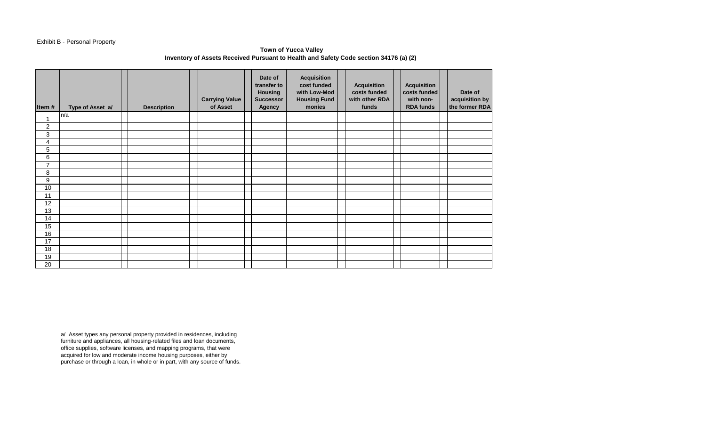## Exhibit B - Personal Property

**Town of Yucca Valley Inventory of Assets Received Pursuant to Health and Safety Code section 34176 (a) (2)** 

| Item#            | Type of Asset a/ | <b>Description</b> | <b>Carrying Value</b><br>of Asset | Date of<br>transfer to<br><b>Housing</b><br><b>Successor</b><br><b>Agency</b> | <b>Acquisition</b><br>cost funded<br>with Low-Mod<br><b>Housing Fund</b><br>monies | <b>Acquisition</b><br>costs funded<br>with other RDA<br>funds | <b>Acquisition</b><br>costs funded<br>with non-<br><b>RDA funds</b> | Date of<br>acquisition by<br>the former RDA |
|------------------|------------------|--------------------|-----------------------------------|-------------------------------------------------------------------------------|------------------------------------------------------------------------------------|---------------------------------------------------------------|---------------------------------------------------------------------|---------------------------------------------|
| $\overline{A}$   | n/a              |                    |                                   |                                                                               |                                                                                    |                                                               |                                                                     |                                             |
| $\boldsymbol{2}$ |                  |                    |                                   |                                                                               |                                                                                    |                                                               |                                                                     |                                             |
| $\mathfrak{B}$   |                  |                    |                                   |                                                                               |                                                                                    |                                                               |                                                                     |                                             |
| 4                |                  |                    |                                   |                                                                               |                                                                                    |                                                               |                                                                     |                                             |
| 5                |                  |                    |                                   |                                                                               |                                                                                    |                                                               |                                                                     |                                             |
| 6                |                  |                    |                                   |                                                                               |                                                                                    |                                                               |                                                                     |                                             |
| $\overline{7}$   |                  |                    |                                   |                                                                               |                                                                                    |                                                               |                                                                     |                                             |
| 8                |                  |                    |                                   |                                                                               |                                                                                    |                                                               |                                                                     |                                             |
| $\boldsymbol{9}$ |                  |                    |                                   |                                                                               |                                                                                    |                                                               |                                                                     |                                             |
| 10               |                  |                    |                                   |                                                                               |                                                                                    |                                                               |                                                                     |                                             |
| 11               |                  |                    |                                   |                                                                               |                                                                                    |                                                               |                                                                     |                                             |
| 12               |                  |                    |                                   |                                                                               |                                                                                    |                                                               |                                                                     |                                             |
| 13               |                  |                    |                                   |                                                                               |                                                                                    |                                                               |                                                                     |                                             |
| 14               |                  |                    |                                   |                                                                               |                                                                                    |                                                               |                                                                     |                                             |
| 15               |                  |                    |                                   |                                                                               |                                                                                    |                                                               |                                                                     |                                             |
| 16               |                  |                    |                                   |                                                                               |                                                                                    |                                                               |                                                                     |                                             |
| 17               |                  |                    |                                   |                                                                               |                                                                                    |                                                               |                                                                     |                                             |
| 18               |                  |                    |                                   |                                                                               |                                                                                    |                                                               |                                                                     |                                             |
| 19               |                  |                    |                                   |                                                                               |                                                                                    |                                                               |                                                                     |                                             |
| 20               |                  |                    |                                   |                                                                               |                                                                                    |                                                               |                                                                     |                                             |

a/ Asset types any personal property provided in residences, including furniture and appliances, all housing-related files and loan documents, office supplies, software licenses, and mapping programs, that were acquired for low and moderate income housing purposes, either by purchase or through a loan, in whole or in part, with any source of funds.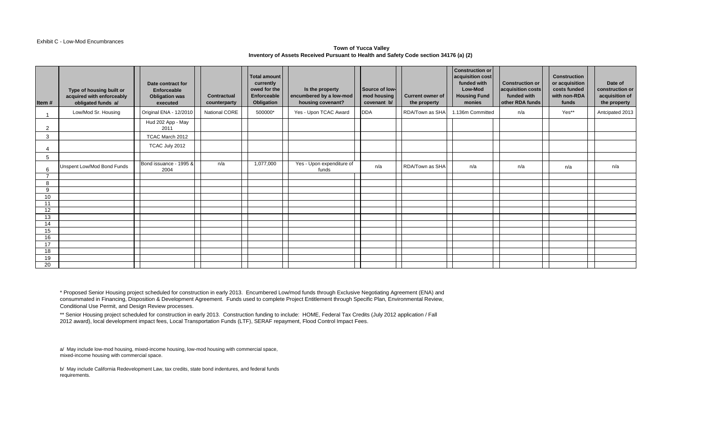#### Exhibit C - Low-Mod Encumbrances

#### **Town of Yucca Valley Inventory of Assets Received Pursuant to Health and Safety Code section 34176 (a) (2)**

| Item#          | Type of housing built or<br>acquired with enforceably<br>obligated funds a/ | Date contract for<br>Enforceable<br><b>Obligation was</b><br>executed | Contractual<br>counterparty | <b>Total amount</b><br>currently<br>owed for the<br>Enforceable<br>Obligation | Is the property<br>encumbered by a low-mod<br>housing covenant? | Source of low-<br>mod housing<br>covenant b/ | <b>Current owner of</b><br>the property | <b>Construction or</b><br>acquisition cost<br>funded with<br>Low-Mod<br><b>Housing Fund</b><br>monies | <b>Construction or</b><br>acquisition costs<br>funded with<br>other RDA funds | <b>Construction</b><br>or acquisition<br>costs funded<br>with non-RDA<br>funds | Date of<br>construction or<br>acquisition of<br>the property |
|----------------|-----------------------------------------------------------------------------|-----------------------------------------------------------------------|-----------------------------|-------------------------------------------------------------------------------|-----------------------------------------------------------------|----------------------------------------------|-----------------------------------------|-------------------------------------------------------------------------------------------------------|-------------------------------------------------------------------------------|--------------------------------------------------------------------------------|--------------------------------------------------------------|
|                | Low/Mod Sr. Housing                                                         | Original ENA - 12/2010                                                | <b>National CORE</b>        | 500000*                                                                       | Yes - Upon TCAC Award                                           | <b>DDA</b>                                   | RDA/Town as SHA                         | 1.136m Committed                                                                                      | n/a                                                                           | Yes**                                                                          | Antcipated 2013                                              |
| $\overline{2}$ |                                                                             | Hud 202 App - May<br>2011                                             |                             |                                                                               |                                                                 |                                              |                                         |                                                                                                       |                                                                               |                                                                                |                                                              |
| 3              |                                                                             | TCAC March 2012                                                       |                             |                                                                               |                                                                 |                                              |                                         |                                                                                                       |                                                                               |                                                                                |                                                              |
|                |                                                                             | TCAC July 2012                                                        |                             |                                                                               |                                                                 |                                              |                                         |                                                                                                       |                                                                               |                                                                                |                                                              |
| 5              |                                                                             |                                                                       |                             |                                                                               |                                                                 |                                              |                                         |                                                                                                       |                                                                               |                                                                                |                                                              |
| 6              | Unspent Low/Mod Bond Funds                                                  | Bond issuance - 1995 &<br>2004                                        | n/a                         | 1,077,000                                                                     | Yes - Upon expenditure of<br>funds                              | n/a                                          | RDA/Town as SHA                         | n/a                                                                                                   | n/a                                                                           | n/a                                                                            | n/a                                                          |
| $\overline{ }$ |                                                                             |                                                                       |                             |                                                                               |                                                                 |                                              |                                         |                                                                                                       |                                                                               |                                                                                |                                                              |
| 8              |                                                                             |                                                                       |                             |                                                                               |                                                                 |                                              |                                         |                                                                                                       |                                                                               |                                                                                |                                                              |
| 9<br>10        |                                                                             |                                                                       |                             |                                                                               |                                                                 |                                              |                                         |                                                                                                       |                                                                               |                                                                                |                                                              |
| 11             |                                                                             |                                                                       |                             |                                                                               |                                                                 |                                              |                                         |                                                                                                       |                                                                               |                                                                                |                                                              |
| 12             |                                                                             |                                                                       |                             |                                                                               |                                                                 |                                              |                                         |                                                                                                       |                                                                               |                                                                                |                                                              |
| 13             |                                                                             |                                                                       |                             |                                                                               |                                                                 |                                              |                                         |                                                                                                       |                                                                               |                                                                                |                                                              |
| 14             |                                                                             |                                                                       |                             |                                                                               |                                                                 |                                              |                                         |                                                                                                       |                                                                               |                                                                                |                                                              |
| 15             |                                                                             |                                                                       |                             |                                                                               |                                                                 |                                              |                                         |                                                                                                       |                                                                               |                                                                                |                                                              |
| 16             |                                                                             |                                                                       |                             |                                                                               |                                                                 |                                              |                                         |                                                                                                       |                                                                               |                                                                                |                                                              |
| 17             |                                                                             |                                                                       |                             |                                                                               |                                                                 |                                              |                                         |                                                                                                       |                                                                               |                                                                                |                                                              |
| 18<br>19       |                                                                             |                                                                       |                             |                                                                               |                                                                 |                                              |                                         |                                                                                                       |                                                                               |                                                                                |                                                              |
| 20             |                                                                             |                                                                       |                             |                                                                               |                                                                 |                                              |                                         |                                                                                                       |                                                                               |                                                                                |                                                              |

\* Proposed Senior Housing project scheduled for construction in early 2013. Encumbered Low/mod funds through Exclusive Negotiating Agreement (ENA) and consummated in Financing, Disposition & Development Agreement. Funds used to complete Project Entitlement through Specific Plan, Environmental Review, Conditional Use Permit, and Design Review processes.

\*\* Senior Housing project scheduled for construction in early 2013. Construction funding to include: HOME, Federal Tax Credits (July 2012 application / Fall 2012 award), local development impact fees, Local Transportation Funds (LTF), SERAF repayment, Flood Control Impact Fees.

a/ May include low-mod housing, mixed-income housing, low-mod housing with commercial space, mixed-income housing with commercial space.

b/ May include California Redevelopment Law, tax credits, state bond indentures, and federal funds requirements.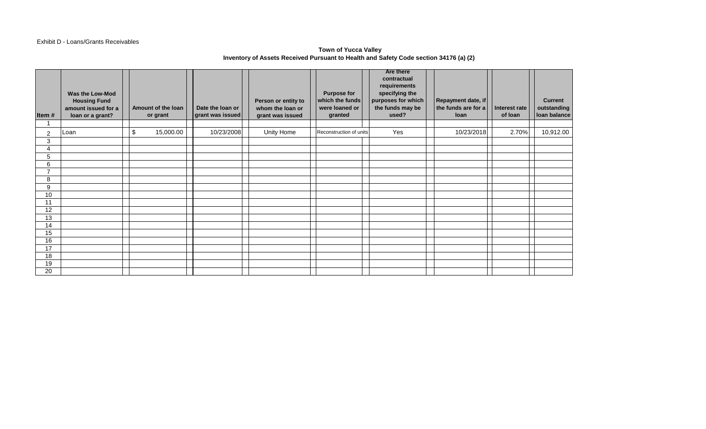### Exhibit D - Loans/Grants Receivables

## **Town of Yucca Valley Inventory of Assets Received Pursuant to Health and Safety Code section 34176 (a) (2)**

| Item#                 | Was the Low-Mod<br><b>Housing Fund</b><br>amount issued for a<br>loan or a grant? | Amount of the loan<br>or grant | Date the loan or<br>grant was issued | Person or entity to<br>whom the loan or<br>grant was issued | <b>Purpose for</b><br>which the funds<br>were loaned or<br>granted | <b>Are there</b><br>contractual<br>requirements<br>specifying the<br>purposes for which<br>the funds may be<br>used? | Repayment date, if<br>the funds are for a<br>loan | Interest rate<br>of loan | <b>Current</b><br>outstanding<br>Ioan balance |
|-----------------------|-----------------------------------------------------------------------------------|--------------------------------|--------------------------------------|-------------------------------------------------------------|--------------------------------------------------------------------|----------------------------------------------------------------------------------------------------------------------|---------------------------------------------------|--------------------------|-----------------------------------------------|
|                       |                                                                                   |                                |                                      |                                                             |                                                                    |                                                                                                                      |                                                   |                          |                                               |
| $\overline{c}$        | Loan                                                                              | \$<br>15,000.00                | 10/23/2008                           | Unity Home                                                  | Reconstruction of units                                            | Yes                                                                                                                  | 10/23/2018                                        | 2.70%                    | 10,912.00                                     |
| 3                     |                                                                                   |                                |                                      |                                                             |                                                                    |                                                                                                                      |                                                   |                          |                                               |
| 4                     |                                                                                   |                                |                                      |                                                             |                                                                    |                                                                                                                      |                                                   |                          |                                               |
| 5                     |                                                                                   |                                |                                      |                                                             |                                                                    |                                                                                                                      |                                                   |                          |                                               |
| 6                     |                                                                                   |                                |                                      |                                                             |                                                                    |                                                                                                                      |                                                   |                          |                                               |
| $\overline{7}$        |                                                                                   |                                |                                      |                                                             |                                                                    |                                                                                                                      |                                                   |                          |                                               |
| 8                     |                                                                                   |                                |                                      |                                                             |                                                                    |                                                                                                                      |                                                   |                          |                                               |
| 9                     |                                                                                   |                                |                                      |                                                             |                                                                    |                                                                                                                      |                                                   |                          |                                               |
| 10                    |                                                                                   |                                |                                      |                                                             |                                                                    |                                                                                                                      |                                                   |                          |                                               |
| 11                    |                                                                                   |                                |                                      |                                                             |                                                                    |                                                                                                                      |                                                   |                          |                                               |
| 12                    |                                                                                   |                                |                                      |                                                             |                                                                    |                                                                                                                      |                                                   |                          |                                               |
| 13                    |                                                                                   |                                |                                      |                                                             |                                                                    |                                                                                                                      |                                                   |                          |                                               |
| 14                    |                                                                                   |                                |                                      |                                                             |                                                                    |                                                                                                                      |                                                   |                          |                                               |
| 15                    |                                                                                   |                                |                                      |                                                             |                                                                    |                                                                                                                      |                                                   |                          |                                               |
| 16<br>$\overline{17}$ |                                                                                   |                                |                                      |                                                             |                                                                    |                                                                                                                      |                                                   |                          |                                               |
| 18                    |                                                                                   |                                |                                      |                                                             |                                                                    |                                                                                                                      |                                                   |                          |                                               |
| 19                    |                                                                                   |                                |                                      |                                                             |                                                                    |                                                                                                                      |                                                   |                          |                                               |
| 20                    |                                                                                   |                                |                                      |                                                             |                                                                    |                                                                                                                      |                                                   |                          |                                               |
|                       |                                                                                   |                                |                                      |                                                             |                                                                    |                                                                                                                      |                                                   |                          |                                               |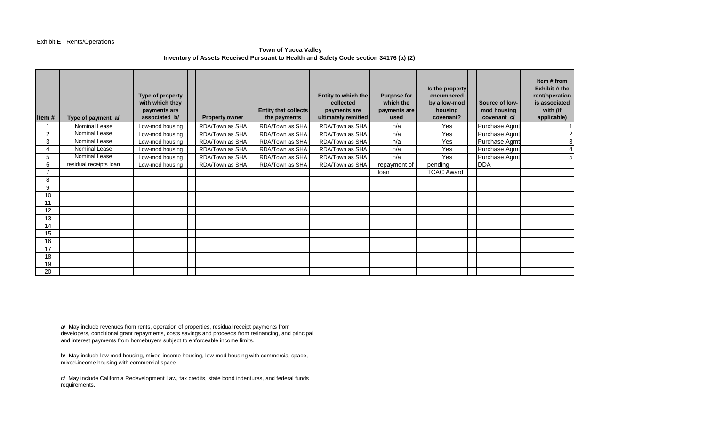#### Exhibit E - Rents/Operations

## **Town of Yucca Valley Inventory of Assets Received Pursuant to Health and Safety Code section 34176 (a) (2)**

| Item $#$ | Type of payment a/     | Type of property<br>with which they<br>payments are<br>associated b/ | <b>Property owner</b> | <b>Entity that collects</b><br>the payments | Entity to which the<br>collected<br>payments are<br>ultimately remitted | <b>Purpose for</b><br>which the<br>payments are<br>used | Is the property<br>encumbered<br>by a low-mod<br>housing<br>covenant? | Source of low-<br>mod housing<br>covenant c/ | Item # from<br><b>Exhibit A the</b><br>rent/operation<br>is associated<br>with (if<br>applicable) |
|----------|------------------------|----------------------------------------------------------------------|-----------------------|---------------------------------------------|-------------------------------------------------------------------------|---------------------------------------------------------|-----------------------------------------------------------------------|----------------------------------------------|---------------------------------------------------------------------------------------------------|
|          | Nominal Lease          | Low-mod housing                                                      | RDA/Town as SHA       | RDA/Town as SHA                             | RDA/Town as SHA                                                         | n/a                                                     | Yes                                                                   | Purchase Agmt                                |                                                                                                   |
| 2        | <b>Nominal Lease</b>   | Low-mod housing                                                      | RDA/Town as SHA       | RDA/Town as SHA                             | RDA/Town as SHA                                                         | n/a                                                     | Yes                                                                   | Purchase Agmt                                |                                                                                                   |
| 3        | Nominal Lease          | Low-mod housing                                                      | RDA/Town as SHA       | RDA/Town as SHA                             | RDA/Town as SHA                                                         | n/a                                                     | Yes                                                                   | Purchase Agmt                                |                                                                                                   |
|          | Nominal Lease          | Low-mod housing                                                      | RDA/Town as SHA       | RDA/Town as SHA                             | RDA/Town as SHA                                                         | n/a                                                     | Yes                                                                   | Purchase Agmt                                |                                                                                                   |
| 5        | Nominal Lease          | Low-mod housing                                                      | RDA/Town as SHA       | RDA/Town as SHA                             | RDA/Town as SHA                                                         | n/a                                                     | Yes                                                                   | Purchase Agmt                                | 5                                                                                                 |
| 6        | residual receipts loan | Low-mod housing                                                      | RDA/Town as SHA       | RDA/Town as SHA                             | RDA/Town as SHA                                                         | repayment of                                            | pending                                                               | <b>DDA</b>                                   |                                                                                                   |
|          |                        |                                                                      |                       |                                             |                                                                         | loan                                                    | <b>TCAC Award</b>                                                     |                                              |                                                                                                   |
| 8        |                        |                                                                      |                       |                                             |                                                                         |                                                         |                                                                       |                                              |                                                                                                   |
| 9        |                        |                                                                      |                       |                                             |                                                                         |                                                         |                                                                       |                                              |                                                                                                   |
| 10       |                        |                                                                      |                       |                                             |                                                                         |                                                         |                                                                       |                                              |                                                                                                   |
| 11       |                        |                                                                      |                       |                                             |                                                                         |                                                         |                                                                       |                                              |                                                                                                   |
| 12       |                        |                                                                      |                       |                                             |                                                                         |                                                         |                                                                       |                                              |                                                                                                   |
| 13       |                        |                                                                      |                       |                                             |                                                                         |                                                         |                                                                       |                                              |                                                                                                   |
| 14       |                        |                                                                      |                       |                                             |                                                                         |                                                         |                                                                       |                                              |                                                                                                   |
| 15       |                        |                                                                      |                       |                                             |                                                                         |                                                         |                                                                       |                                              |                                                                                                   |
| 16       |                        |                                                                      |                       |                                             |                                                                         |                                                         |                                                                       |                                              |                                                                                                   |
| 17       |                        |                                                                      |                       |                                             |                                                                         |                                                         |                                                                       |                                              |                                                                                                   |
| 18       |                        |                                                                      |                       |                                             |                                                                         |                                                         |                                                                       |                                              |                                                                                                   |
| 19       |                        |                                                                      |                       |                                             |                                                                         |                                                         |                                                                       |                                              |                                                                                                   |
| 20       |                        |                                                                      |                       |                                             |                                                                         |                                                         |                                                                       |                                              |                                                                                                   |

a/ May include revenues from rents, operation of properties, residual receipt payments from developers, conditional grant repayments, costs savings and proceeds from refinancing, and principal and interest payments from homebuyers subject to enforceable income limits.

b/ May include low-mod housing, mixed-income housing, low-mod housing with commercial space, mixed-income housing with commercial space.

c/ May include California Redevelopment Law, tax credits, state bond indentures, and federal funds requirements.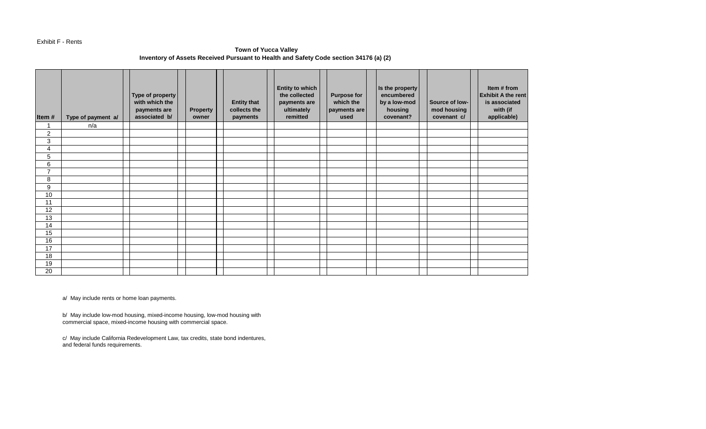#### Exhibit F - Rents

# **Town of Yucca Valley Inventory of Assets Received Pursuant to Health and Safety Code section 34176 (a) (2)**

| Item#          | Type of payment a/ | Type of property<br>with which the<br>payments are<br>associated b/ | Property<br>owner | <b>Entity that</b><br>collects the<br>payments | <b>Entity to which</b><br>the collected<br>payments are<br>ultimately<br>remitted | <b>Purpose for</b><br>which the<br>payments are<br>used | Is the property<br>encumbered<br>by a low-mod<br>housing<br>covenant? | Source of low-<br>mod housing<br>covenant c/ | Item # from<br><b>Exhibit A the rent</b><br>is associated<br>with (if<br>applicable) |
|----------------|--------------------|---------------------------------------------------------------------|-------------------|------------------------------------------------|-----------------------------------------------------------------------------------|---------------------------------------------------------|-----------------------------------------------------------------------|----------------------------------------------|--------------------------------------------------------------------------------------|
|                | n/a                |                                                                     |                   |                                                |                                                                                   |                                                         |                                                                       |                                              |                                                                                      |
| $\overline{2}$ |                    |                                                                     |                   |                                                |                                                                                   |                                                         |                                                                       |                                              |                                                                                      |
| 3              |                    |                                                                     |                   |                                                |                                                                                   |                                                         |                                                                       |                                              |                                                                                      |
| 4              |                    |                                                                     |                   |                                                |                                                                                   |                                                         |                                                                       |                                              |                                                                                      |
| 5              |                    |                                                                     |                   |                                                |                                                                                   |                                                         |                                                                       |                                              |                                                                                      |
| 6              |                    |                                                                     |                   |                                                |                                                                                   |                                                         |                                                                       |                                              |                                                                                      |
| $\overline{7}$ |                    |                                                                     |                   |                                                |                                                                                   |                                                         |                                                                       |                                              |                                                                                      |
| 8              |                    |                                                                     |                   |                                                |                                                                                   |                                                         |                                                                       |                                              |                                                                                      |
| 9              |                    |                                                                     |                   |                                                |                                                                                   |                                                         |                                                                       |                                              |                                                                                      |
| 10             |                    |                                                                     |                   |                                                |                                                                                   |                                                         |                                                                       |                                              |                                                                                      |
| 11             |                    |                                                                     |                   |                                                |                                                                                   |                                                         |                                                                       |                                              |                                                                                      |
| 12             |                    |                                                                     |                   |                                                |                                                                                   |                                                         |                                                                       |                                              |                                                                                      |
| 13             |                    |                                                                     |                   |                                                |                                                                                   |                                                         |                                                                       |                                              |                                                                                      |
| 14             |                    |                                                                     |                   |                                                |                                                                                   |                                                         |                                                                       |                                              |                                                                                      |
| 15             |                    |                                                                     |                   |                                                |                                                                                   |                                                         |                                                                       |                                              |                                                                                      |
| 16             |                    |                                                                     |                   |                                                |                                                                                   |                                                         |                                                                       |                                              |                                                                                      |
| 17             |                    |                                                                     |                   |                                                |                                                                                   |                                                         |                                                                       |                                              |                                                                                      |
| 18             |                    |                                                                     |                   |                                                |                                                                                   |                                                         |                                                                       |                                              |                                                                                      |
| 19             |                    |                                                                     |                   |                                                |                                                                                   |                                                         |                                                                       |                                              |                                                                                      |
| 20             |                    |                                                                     |                   |                                                |                                                                                   |                                                         |                                                                       |                                              |                                                                                      |

a/ May include rents or home loan payments.

b/ May include low-mod housing, mixed-income housing, low-mod housing with commercial space, mixed-income housing with commercial space.

c/ May include California Redevelopment Law, tax credits, state bond indentures, and federal funds requirements.